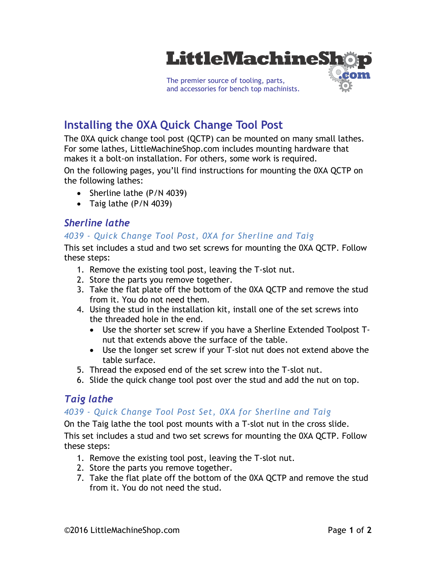

# **Installing the 0XA Quick Change Tool Post**

The 0XA quick change tool post (QCTP) can be mounted on many small lathes. For some lathes, LittleMachineShop.com includes mounting hardware that makes it a bolt-on installation. For others, some work is required.

On the following pages, you'll find instructions for mounting the 0XA QCTP on the following lathes:

- Sherline lathe (P/N 4039)
- Taig lathe (P/N 4039)

## *Sherline lathe*

### *4039 - Quick Change Tool Post, 0XA for Sherline and Taig*

This set includes a stud and two set screws for mounting the 0XA QCTP. Follow these steps:

- 1. Remove the existing tool post, leaving the T-slot nut.
- 2. Store the parts you remove together.
- 3. Take the flat plate off the bottom of the 0XA QCTP and remove the stud from it. You do not need them.
- 4. Using the stud in the installation kit, install one of the set screws into the threaded hole in the end.
	- Use the shorter set screw if you have a Sherline Extended Toolpost Tnut that extends above the surface of the table.
	- Use the longer set screw if your T-slot nut does not extend above the table surface.
- 5. Thread the exposed end of the set screw into the T-slot nut.
- 6. Slide the quick change tool post over the stud and add the nut on top.

## *Taig lathe*

#### *4039 - Quick Change Tool Post Set, 0XA for Sherline and Taig*

On the Taig lathe the tool post mounts with a T-slot nut in the cross slide.

This set includes a stud and two set screws for mounting the 0XA QCTP. Follow these steps:

- 1. Remove the existing tool post, leaving the T-slot nut.
- 2. Store the parts you remove together.
- 7. Take the flat plate off the bottom of the 0XA QCTP and remove the stud from it. You do not need the stud.